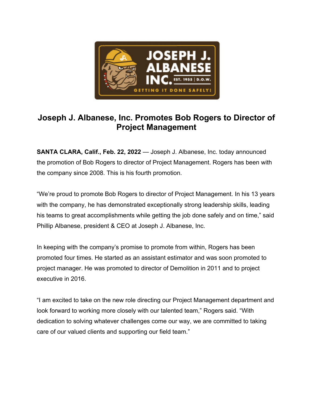

## **Joseph J. Albanese, Inc. Promotes Bob Rogers to Director of Project Management**

**SANTA CLARA, Calif., Feb. 22, 2022** — Joseph J. Albanese, Inc. today announced the promotion of Bob Rogers to director of Project Management. Rogers has been with the company since 2008. This is his fourth promotion.

"We're proud to promote Bob Rogers to director of Project Management. In his 13 years with the company, he has demonstrated exceptionally strong leadership skills, leading his teams to great accomplishments while getting the job done safely and on time," said Phillip Albanese, president & CEO at Joseph J. Albanese, Inc.

In keeping with the company's promise to promote from within, Rogers has been promoted four times. He started as an assistant estimator and was soon promoted to project manager. He was promoted to director of Demolition in 2011 and to project executive in 2016.

"I am excited to take on the new role directing our Project Management department and look forward to working more closely with our talented team," Rogers said. "With dedication to solving whatever challenges come our way, we are committed to taking care of our valued clients and supporting our field team."